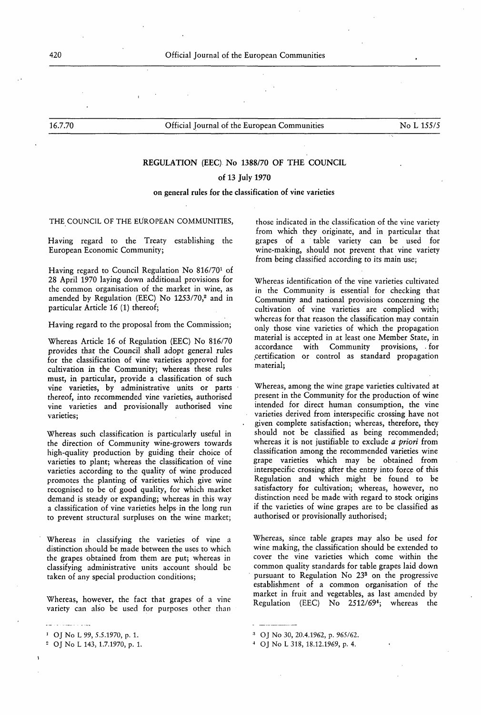16.7.70 Official Journal of the European Communities No L 155/5

# REGULATION (EEC) No 1388/70 OF THE COUNCIL

## of 13 July 1970

## on general rules for the classification of vine varieties

## THE COUNCIL OF THE EUROPEAN COMMUNITIES,

Having regard to the Treaty establishing the European Economic Community;

Having regard to Council Regulation No 816/701 of 28 April 1970 laying down additional provisions for the common organisation of the market in wine, as amended by Regulation (EEC) No  $1253/70$ ,<sup>2</sup> and in particular Article 16 (1) thereof;

Having regard to the proposal from the Commission;

Whereas Article 16 of Regulation (EEC) No 816/70 provides that the Council shall adopt general rules for the classification of vine varieties approved for cultivation in the Community; whereas these rules must, in particular, provide a classification of such vine varieties, by administrative units or parts thereof, into recommended vine varieties, authorised vine varieties and provisionally authorised vine varieties;

Whereas such classification is particularly useful in the direction of Community wine-growers towards high-quality production by guiding their choice of varieties to plant; whereas the classification of vine varieties according to the quality of wine produced promotes the planting of varieties which give wine recognised to be of good quality, for which market demand is steady or expanding; whereas in this way a classification of vine varieties helps in the long run to prevent structural surpluses on the wine market;

Whereas in classifying the varieties of vine a distinction should be made between the uses to which the grapes obtained from them are put; whereas in classifying administrative units account should be taken of any special production conditions;

Whereas, however, the fact that grapes of a vine variety can also be used for purposes other than

those indicated in the classification of the vine variety from which they originate, and in particular that grapes of a table variety can be used for wine-making, should not prevent that vine variety from being classified according to its main use;

Whereas identification of the vine varieties cultivated in the Community is essential for checking that Community and national provisions concerning the cultivation of vine varieties are complied with; whereas for that reason the classification may contain only those vine varieties of which the propagation material is accepted in at least one Member State, in<br>accordance with Community provisions, for accordance with Community provisions, • for certification or control as standard propagation material;

Whereas, among the wine grape varieties cultivated at present in the Community for the production of wine intended for direct human consumption, the vine varieties derived from interspecific crossing have not given complete satisfaction; whereas, therefore, they should not be classified as being recommended; whereas it is not justifiable to exclude a priori from classification among the recommended varieties wine grape varieties which may be obtained from interspecific crossing after the entry into force of this Regulation and which might be found to be satisfactory for cultivation; whereas, however, no distinction need be made with regard to stock origins if the varieties of wine grapes are to be classified as authorised or provisionally authorised;

Whereas, since table grapes may also be used for wine making, the classification should be extended to cover the vine varieties which come within the common quality standards for table grapes laid down pursuant to Regulation No 238 on the progressive establishment of a common organisation of the market in fruit and vegetables, as last amended by Regulation (EEC) No 2512/69<sup>4</sup>; whereas the

:1 OJ No 30, 20.4.1962, p. 965/62.

<sup>4</sup> OJ No L 318, 18.12.1969, p. 4 .

 $1$  O [No L 99, 5.5.1970, p. 1.

 $2$  OJ No L 143, 1.7.1970, p. 1.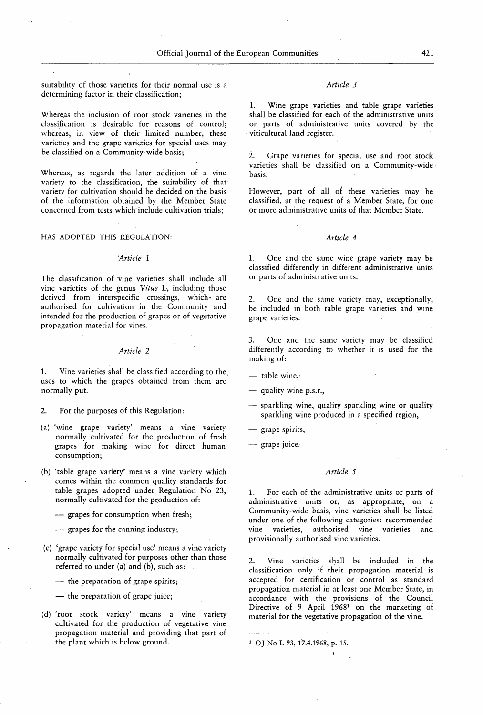suitability of those varieties for their normal use is a Article 3 determining factor in their classification;

Whereas the inclusion of root stock varieties in the classification is desirable for reasons of control; whereas, in view of their limited number, these varieties and the grape varieties for special uses may be classified on a Community-wide basis;

Whereas, as regards the later addition of a vine variety to the classification, the suitability of that variety for cultivation should be decided on the basis of the information obtained by the Member State concerned from tests which'include cultivation trials;

## HAS ADOPTED THIS REGULATION:  $Article 4$

## Article <sup>1</sup>

The classification of vine varieties shall include all vine varieties of the genus Vitus L, including those derived from interspecific crossings, which are authorised for cultivation in the Community and intended for the production of grapes or of vegetative propagation material for vines.

### Article 2

1. Vine varieties shall be classified according to the uses to which the grapes obtained from them are normally put.

- (a) 'wine grape variety' means a vine variety normally cultivated for the production of fresh grapes for making wine for direct human consumption;
- (b) 'table grape variety' means a vine variety which comes within the common quality standards for table grapes adopted under Regulation No 23, normally cultivated for the production of:
	- grapes for consumption when fresh;
	- grapes for the canning industry;
- ( c) 'grape variety for special use' means a vine variety normally cultivated for purposes other than those referred to under  $(a)$  and  $(b)$ , such as:
	- $\overline{\phantom{a}}$  the preparation of grape spirits;
	- $-$  the preparation of grape juice;
- (d) 'root stock variety' means a vine variety cultivated for the production of vegetative vine propagation material and providing that part of the plant which is below ground.  $1$  OJ No L 93, 17.4.1968, p. 15.

1. Wine grape varieties and table grape varieties shall be classified for each of the administrative units or parts of administrative units covered by the viticultural land register.

2. Grape varieties for special use and root stock varieties shall be classified on a Community-wide • basis.

However, part of all of these varieties may be classified, at the request of a Member State, for one or more administrative units of that Member State.

1. One and the same wine grape variety may be classified differently in different administrative units or parts of administrative units.

2. One and the same variety may, exceptionally, be included in both table grape varieties and wine grape varieties.

3. One and the same variety may be classified differently according to whether it is used for the making of:

 $-$  table wine,

- quality wine p.s.r.,
- 2. For the purposes of this Regulation: sparkling wine, quality sparkling wine or quality 2. sparkling wine produced in a specified region,
	- grape spirits,
	- grape juice.

### Article 5

1. For each of the administrative units or parts of administrative units or, as appropriate, on a Community-wide basis, vine varieties shall be listed under one of the following categories: recommended vine varieties, authorised vine varieties and provisionally authorised vine varieties.

2. Vine varieties shall be included in the classification only if their propagation material is accepted for certification or control as standard propagation material in at least one Member State, in accordance with the provisions of the Council Directive of 9 April 1968<sup>1</sup> on the marketing of material for the vegetative propagation of the vine.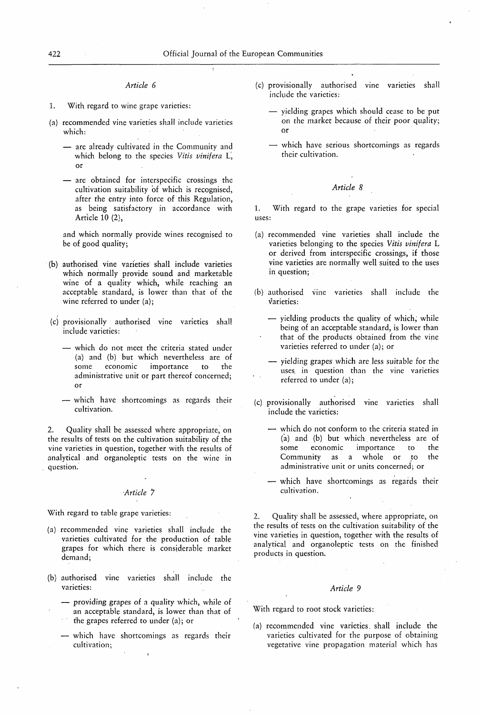## Article 6

- 1. With regard to wine grape varieties:
- (a) recommended vine varieties shall include varieties which:
	- are already cultivated in the Community and which belong to the species Vitis vinifera L, or
	- are obtained for interspecific crossings the cultivation suitability of which is recognised, after the entry into force of this Regulation, as being satisfactory in accordance with Article 10 (2),

and which normally provide wines recognised to be of good quality;

- (b) authorised vine varieties shall include varieties which normally provide sound and marketable wine of a quality which, while reaching an acceptable standard, is lower than that of the wine referred to under (a);
- (c) provisionally authorised vine varieties shall include varieties:
	- which do not meet the criteria stated under (a) and (b) but which nevertheless are of some economic importance to the administrative unit or part thereof concerned; or
	- which have shortcomings as regards their cultivation.

2. Quality shall be assessed where appropriate, on the results of tests on the cultivation suitability of the vine varieties in question, together with the results of analytical and organoleptic tests on the wine in question.

## Article 7

With regard to table grape varieties:

- (a) recommended vine varieties shall include the varieties cultivated for the production of table grapes for which there is considerable market demand;
- (b) authorised vine varieties shall include the varieties:
	- providing grapes of a quality which, while of an acceptable standard, is lower than that of the grapes referred to under (a); or
	- which have shortcomings as regards their cultivation;
- (c) provisionally authorised vine varieties shall include the varieties:
	- yielding grapes which should cease to be put on the market because of their poor quality; or
	- which have serious shortcomings as regards their cultivation.

## Article 8

1. With regard to the grape varieties for special uses:

- ( a) recommended vine varieties shall include the varieties belonging to the species Vitis vinifera L or derived from interspecific crossings, if those vine varieties are normally well suited to the uses in question;
- (b) authorised vine varieties shall include the varieties:
	- yielding products the quality of which, while being of an acceptable standard, is lower than that of the products obtained from the vine varieties referred to under (a); or
	- yielding grapes which are less suitable for the uses, in question than the vine varieties referred to under  $(a)$ ;
- ( c) provisionally authorised vine varieties shall include the varieties:
	- which do not conform to the criteria stated in (a) and (b) but which nevertheless are of some economic importance to the<br>Community as a whole or to the Community as a whole or to administrative unit or units concerned; or
	- which have shortcomings as regards their cultivation.

2. Quality shall be assessed, where appropriate, on the results of tests on the cultivation suitability of the vine varieties in question, together with the results of analytical and organoleptic tests on the finished products in question.

### Article 9

With regard to root stock varieties:

(a) recommended vine varieties shall include the varieties cultivated for the purpose of obtaining vegetative vine propagation material which has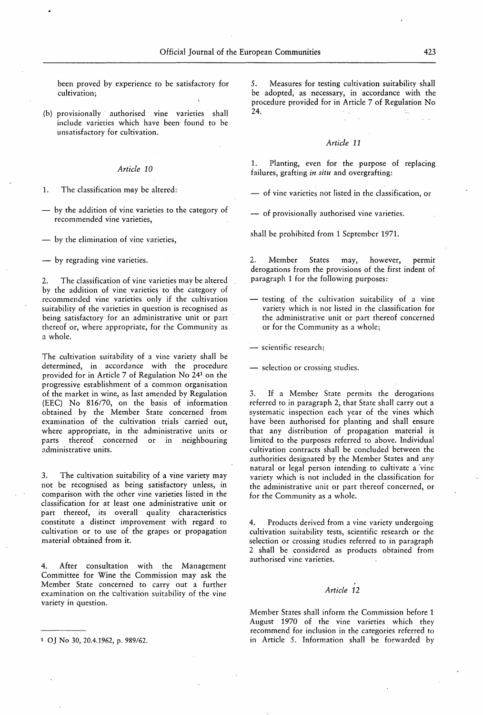been proved by experience to be satisfactory for cultivation;

(b) provisionally authorised vine varieties shall include varieties which have been found to be unsatisfactory for cultivation.

## Article 10

1. The classification may be altered:

— by the addition of vine varieties to the category of recommended vine varieties,

— by the elimination of vine varieties,

— by regrading vine varieties.

2. The classification of vine varieties may be altered by the addition of vine varieties to the category of recommended vine varieties only if the cultivation suitability of the varieties in question is recognised as being satisfactory for an administrative unit or part thereof or, where appropriate, for the Community as a whole.

The cultivation suitability of a vine variety shall be determined, in accordance with the procedure provided for in Article 7 of Regulation No 241 on the progressive establishment of a common organisation of the market in wine, as last amended by Regulation (EEC) No 816/70, on the basis of information obtained by the Member State concerned from examination of the cultivation trials carried out, where appropriate, in the administrative units or parts thereof concerned or in neighbouring administrative units.

3. The cultivation suitability of a vine variety may not be recognised as being satisfactory unless, in comparison with the other vine varieties listed in the classification for at least one administrative unit or part thereof, its overall quality characteristics constitute a distinct improvement with regard to cultivation or to use of the grapes or propagation material obtained from it.

4. After consultation with the Management Committee for Wine the Commission may ask the Member State concerned to carry out a further examination on the 'cultivation suitability of the vine variety in question.

5. Measures for testing cultivation suitability shall be adopted, as necessary, in accordance with the procedure provided for in Article 7 of Regulation No 24.

## Article 11

1. Planting, even for the purpose of replacing failures, grafting in situ and overgrafting:

— of vine varieties not listed in the classification, or

— of provisionally authorised vine varieties.

shall be prohibited from 1 September 1971.

2. Member States may, however, permit derogations from the provisions of the first indent of paragraph <sup>1</sup> for the following purposes:

— testing of the cultivation suitability of a vine variety which is not listed in the classification for the administrative unit or part thereof concerned or for the Community as a whole;

— scientific research;

— selection or crossing studies.

3. If a Member State permits the derogations referred to in paragraph 2, that State shall carry out a systematic inspection each year of the vines which have been authorised for planting and shall ensure that any distribution of propagation material is limited to the purposes referred to above. Individual cultivation contracts shall be concluded between the authorities designated by the Member States and any natural or legal person intending to cultivate a vine variety which is not included in the classification for the administrative unit or part thereof concerned, or for the Community as a whole.

4. Products derived from a vine variety undergoing cultivation suitability tests, scientific research or the selection or crossing studies referred to in paragraph 2 shall be considered as products obtained from authorised vine varieties.

## Article 12

Member States shall inform the Commission before <sup>1</sup> August 1970 of the vine varieties which they recommend for inclusion in the categories referred to <sup>1</sup> OJ No 30, 20.4.1962, p. 989/62. **in Article 5. Information shall be forwarded by**